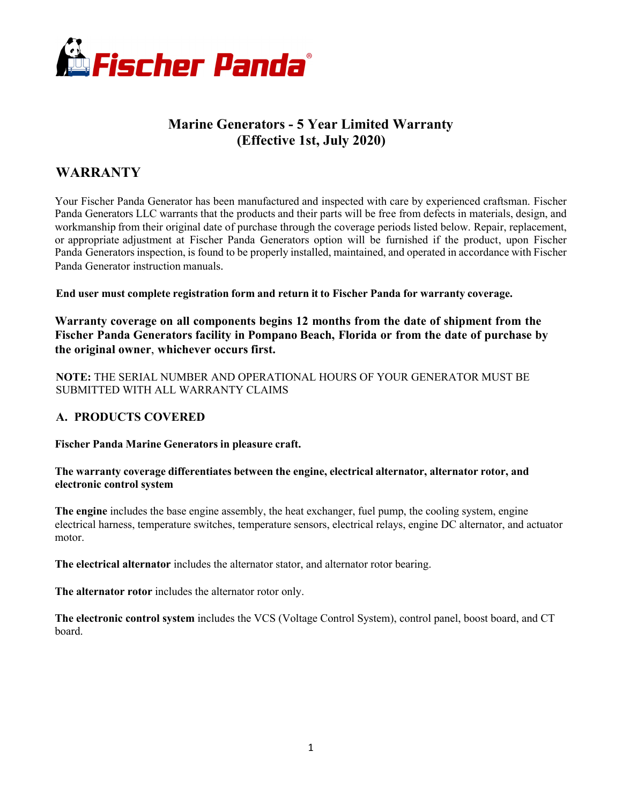

# **Marine Generators - 5 Year Limited Warranty (Effective 1st, July 2020)**

# **WARRANTY**

Your Fischer Panda Generator has been manufactured and inspected with care by experienced craftsman. Fischer Panda Generators LLC warrants that the products and their parts will be free from defects in materials, design, and workmanship from their original date of purchase through the coverage periods listed below. Repair, replacement, or appropriate adjustment at Fischer Panda Generators option will be furnished if the product, upon Fischer Panda Generators inspection, is found to be properly installed, maintained, and operated in accordance with Fischer Panda Generator instruction manuals.

**End user must complete registration form and return it to Fischer Panda for warranty coverage.**

**Warranty coverage on all components begins 12 months from the date of shipment from the Fischer Panda Generators facility in Pompano Beach, Florida or from the date of purchase by the original owner**, **whichever occurs first.**

**NOTE:** THE SERIAL NUMBER AND OPERATIONAL HOURS OF YOUR GENERATOR MUST BE SUBMITTED WITH ALL WARRANTY CLAIMS

## **A. PRODUCTS COVERED**

**Fischer Panda Marine Generators in pleasure craft.**

#### **The warranty coverage differentiates between the engine, electrical alternator, alternator rotor, and electronic control system**

**The engine** includes the base engine assembly, the heat exchanger, fuel pump, the cooling system, engine electrical harness, temperature switches, temperature sensors, electrical relays, engine DC alternator, and actuator motor.

**The electrical alternator** includes the alternator stator, and alternator rotor bearing.

**The alternator rotor** includes the alternator rotor only.

**The electronic control system** includes the VCS (Voltage Control System), control panel, boost board, and CT board.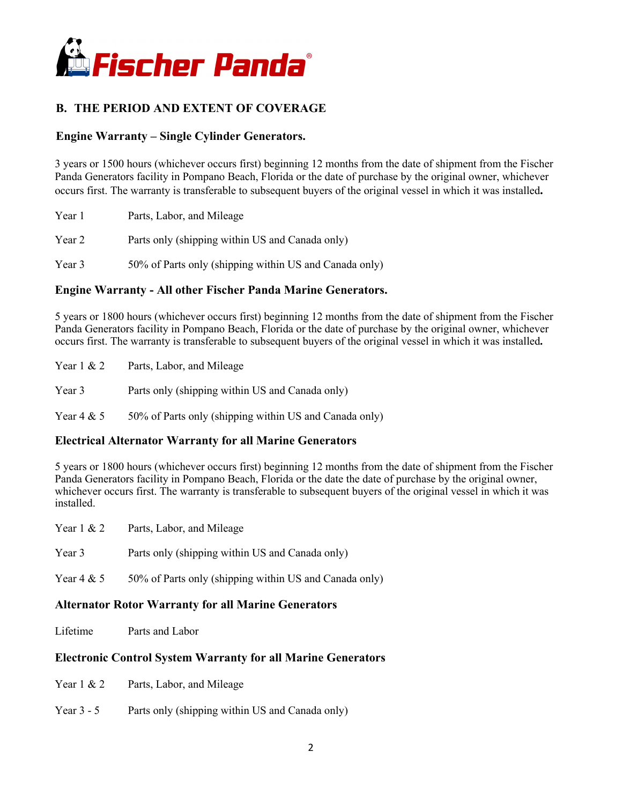

# **B. THE PERIOD AND EXTENT OF COVERAGE**

## **Engine Warranty – Single Cylinder Generators.**

3 years or 1500 hours (whichever occurs first) beginning 12 months from the date of shipment from the Fischer Panda Generators facility in Pompano Beach, Florida or the date of purchase by the original owner, whichever occurs first. The warranty is transferable to subsequent buyers of the original vessel in which it was installed**.**

| Year 1 | Parts, Labor, and Mileage                              |
|--------|--------------------------------------------------------|
| Year 2 | Parts only (shipping within US and Canada only)        |
| Year 3 | 50% of Parts only (shipping within US and Canada only) |

## **Engine Warranty - All other Fischer Panda Marine Generators.**

5 years or 1800 hours (whichever occurs first) beginning 12 months from the date of shipment from the Fischer Panda Generators facility in Pompano Beach, Florida or the date of purchase by the original owner, whichever occurs first. The warranty is transferable to subsequent buyers of the original vessel in which it was installed**.**

| Year $1 \& 2$ | Parts, Labor, and Mileage                       |
|---------------|-------------------------------------------------|
| Year 3        | Parts only (shipping within US and Canada only) |

Year  $4 \& 5$  50% of Parts only (shipping within US and Canada only)

#### **Electrical Alternator Warranty for all Marine Generators**

5 years or 1800 hours (whichever occurs first) beginning 12 months from the date of shipment from the Fischer Panda Generators facility in Pompano Beach, Florida or the date the date of purchase by the original owner, whichever occurs first. The warranty is transferable to subsequent buyers of the original vessel in which it was installed.

| Year 1 & 2 | Parts, Labor, and Mileage                              |
|------------|--------------------------------------------------------|
| Year 3     | Parts only (shipping within US and Canada only)        |
| Year 4 & 5 | 50% of Parts only (shipping within US and Canada only) |

#### **Alternator Rotor Warranty for all Marine Generators**

Lifetime Parts and Labor

## **Electronic Control System Warranty for all Marine Generators**

- Year 1 & 2 Parts, Labor, and Mileage
- Year 3 5 Parts only (shipping within US and Canada only)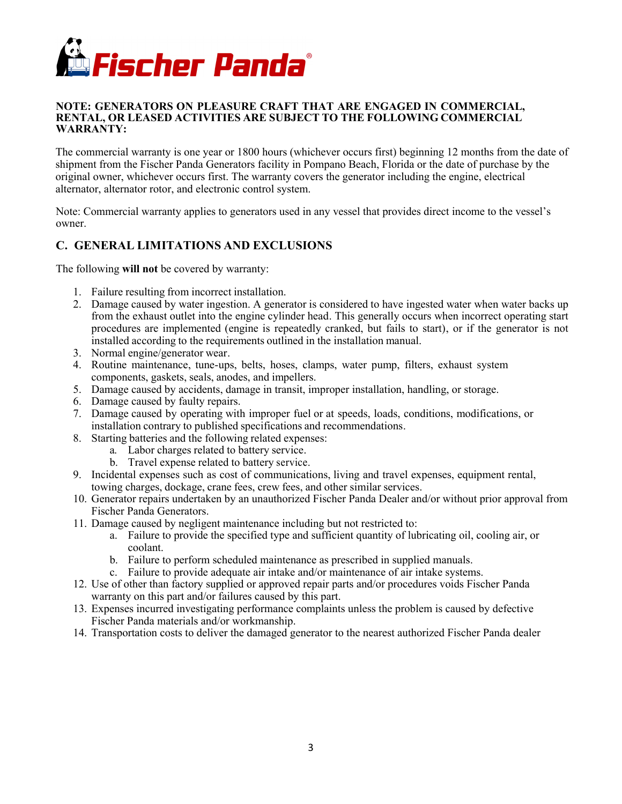

#### **NOTE: GENERATORS ON PLEASURE CRAFT THAT ARE ENGAGED IN COMMERCIAL, RENTAL, OR LEASED ACTIVITIES ARE SUBJECT TO THE FOLLOWING COMMERCIAL WARRANTY:**

The commercial warranty is one year or 1800 hours (whichever occurs first) beginning 12 months from the date of shipment from the Fischer Panda Generators facility in Pompano Beach, Florida or the date of purchase by the original owner, whichever occurs first. The warranty covers the generator including the engine, electrical alternator, alternator rotor, and electronic control system.

Note: Commercial warranty applies to generators used in any vessel that provides direct income to the vessel's owner.

## **C. GENERAL LIMITATIONS AND EXCLUSIONS**

The following **will not** be covered by warranty:

- 1. Failure resulting from incorrect installation.
- 2. Damage caused by water ingestion. A generator is considered to have ingested water when water backs up from the exhaust outlet into the engine cylinder head. This generally occurs when incorrect operating start procedures are implemented (engine is repeatedly cranked, but fails to start), or if the generator is not installed according to the requirements outlined in the installation manual.
- 3. Normal engine/generator wear.
- 4. Routine maintenance, tune-ups, belts, hoses, clamps, water pump, filters, exhaust system components, gaskets, seals, anodes, and impellers.
- 5. Damage caused by accidents, damage in transit, improper installation, handling, or storage.
- 6. Damage caused by faulty repairs.
- 7. Damage caused by operating with improper fuel or at speeds, loads, conditions, modifications, or installation contrary to published specifications and recommendations.
- 8. Starting batteries and the following related expenses:
	- a. Labor charges related to battery service.
	- b. Travel expense related to battery service.
- 9. Incidental expenses such as cost of communications, living and travel expenses, equipment rental, towing charges, dockage, crane fees, crew fees, and other similar services.
- 10. Generator repairs undertaken by an unauthorized Fischer Panda Dealer and/or without prior approval from Fischer Panda Generators.
- 11. Damage caused by negligent maintenance including but not restricted to:
	- a. Failure to provide the specified type and sufficient quantity of lubricating oil, cooling air, or coolant.
	- b. Failure to perform scheduled maintenance as prescribed in supplied manuals.
	- c. Failure to provide adequate air intake and/or maintenance of air intake systems.
- 12. Use of other than factory supplied or approved repair parts and/or procedures voids Fischer Panda warranty on this part and/or failures caused by this part.
- 13. Expenses incurred investigating performance complaints unless the problem is caused by defective Fischer Panda materials and/or workmanship.
- 14. Transportation costs to deliver the damaged generator to the nearest authorized Fischer Panda dealer